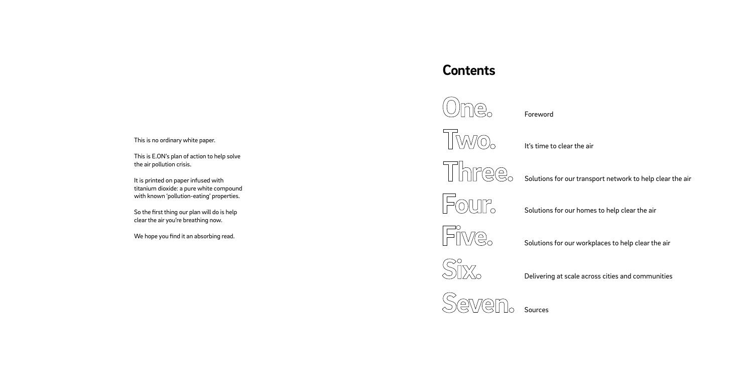*This is no ordinary white paper.*

*This is E.ON's plan of action to help solve the air pollution crisis.*

*It is printed on paper infused with titanium dioxide: a pure white compound with known 'pollution-eating' properties.*

*So the first thing our plan will do is help clear the air you're breathing now.*

*We hope you find it an absorbing read.*



<sup>)</sup>ne.









## *Contents*

*Foreword* 

*It's time to clear the air*

*Solutions for our homes to help clear the air*

*Delivering at scale across cities and communities*



*Solutions for our transport network to help clear the air*

*Solutions for our workplaces to help clear the air*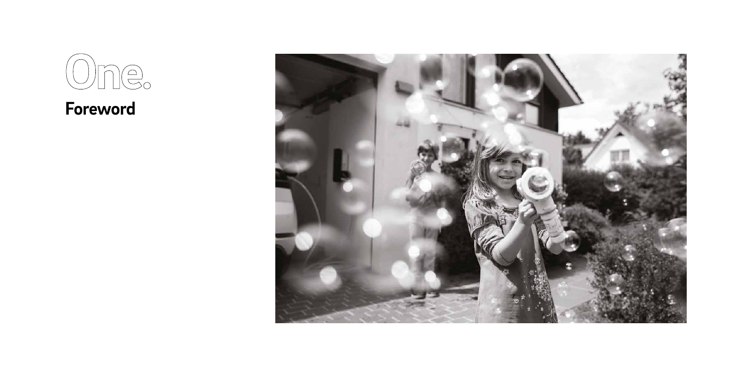

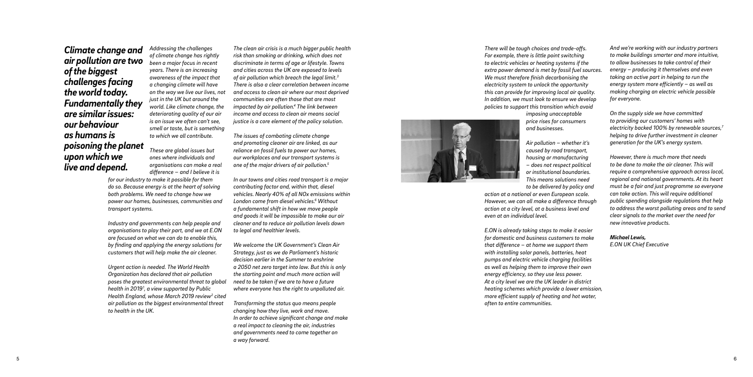*Addressing the challenges of climate change has rightly been a major focus in recent years. There is an increasing awareness of the impact that a changing climate will have on the way we live our lives, not just in the UK but around the world. Like climate change, the deteriorating quality of our air is an issue we often can't see, smell or taste, but is something to which we all contribute.*

*These are global issues but ones where individuals and organisations can make a real difference – and I believe it is* 

*for our industry to make it possible for them do so. Because energy is at the heart of solving both problems. We need to change how we power our homes, businesses, communities and transport systems.* 

*Industry and governments can help people and organisations to play their part, and we at E.ON are focused on what we can do to enable this, by finding and applying the energy solutions for customers that will help make the air cleaner.*

*Urgent action is needed. The World Health Organization has declared that air pollution poses the greatest environmental threat to global health in 2019 1 , a view supported by Public Health England, whose March 2019 review 2 cited air pollution as the biggest environmental threat to health in the UK.* 

*The clean air crisis is a much bigger public health risk than smoking or drinking, which does not discriminate in terms of age or lifestyle. Towns and cities across the UK are exposed to levels of air pollution which breach the legal limit. 3 There is also a clear correlation between income and access to clean air where our most deprived communities are often those that are most impacted by air pollution. 4 The link between income and access to clean air means social justice is a core element of the policy solution.*

*The issues of combating climate change and promoting cleaner air are linked, as our reliance on fossil fuels to power our homes, our workplaces and our transport systems is one of the major drivers of air pollution. 5*

*In our towns and cities road transport is a major contributing factor and, within that, diesel vehicles. Nearly 40% of all NOx emissions within London come from diesel vehicles. 6 Without a fundamental shift in how we move people and goods it will be impossible to make our air cleaner and to reduce air pollution levels down to legal and healthier levels.*

*We welcome the UK Government's Clean Air Strategy, just as we do Parliament's historic decision earlier in the Summer to enshrine a 2050 net zero target into law. But this is only the starting point and much more action will need to be taken if we are to have a future where everyone has the right to unpolluted air.* 

*Transforming the status quo means people changing how they live, work and move. In order to achieve significant change and make a real impact to cleaning the air, industries and governments need to come together on a way forward.* 

*There will be tough choices and trade-offs. For example, there is little point switching to electric vehicles or heating systems if the extra power demand is met by fossil fuel sources. We must therefore finish decarbonising the electricity system to unlock the opportunity this can provide for improving local air quality. In addition, we must look to ensure we develop policies to support this transition which avoid imposing unacceptable price rises for consumers and businesses.*



*Air pollution – whether it's caused by road transport, housing or manufacturing – does not respect political or institutional boundaries. This means solutions need to be delivered by policy and action at a national or even European scale. However, we can all make a difference through action at a city level, at a business level and even at an individual level.* 

*E.ON is already taking steps to make it easier for domestic and business customers to make that difference – at home we support them with installing solar panels, batteries, heat pumps and electric vehicle charging facilities as well as helping them to improve their own energy efficiency, so they use less power. At a city level we are the UK leader in district heating schemes which provide a lower emission, more efficient supply of heating and hot water, often to entire communities.*

*And we're working with our industry partners to make buildings smarter and more intuitive, to allow businesses to take control of their energy – producing it themselves and even taking an active part in helping to run the energy system more efficiently – as well as making charging an electric vehicle possible for everyone.* 

*On the supply side we have committed to providing our customers' homes with electricity backed 100% by renewable sources, 7 helping to drive further investment in cleaner generation for the UK's energy system.* 

*However, there is much more that needs to be done to make the air cleaner. This will require a comprehensive approach across local, regional and national governments. At its heart must be a fair and just programme so everyone can take action. This will require additional public spending alongside regulations that help to address the worst polluting areas and to send clear signals to the market over the need for new innovative products.* 

*Michael Lewis, E.ON UK Chief Executive*

*Climate change and air pollution are two of the biggest challenges facing the world today. Fundamentally they are similar issues: our behaviour as humans is poisoning the planet upon which we live and depend.*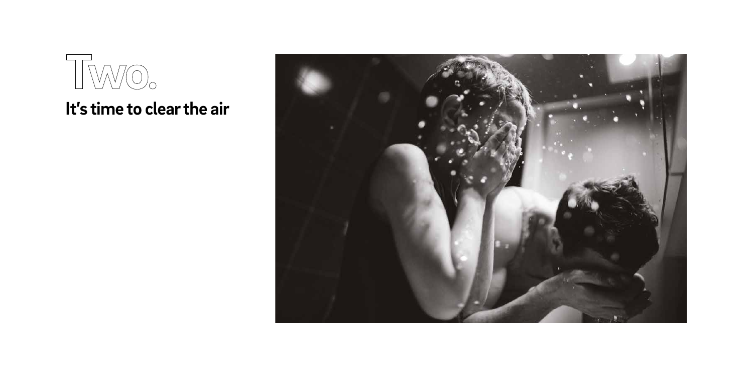

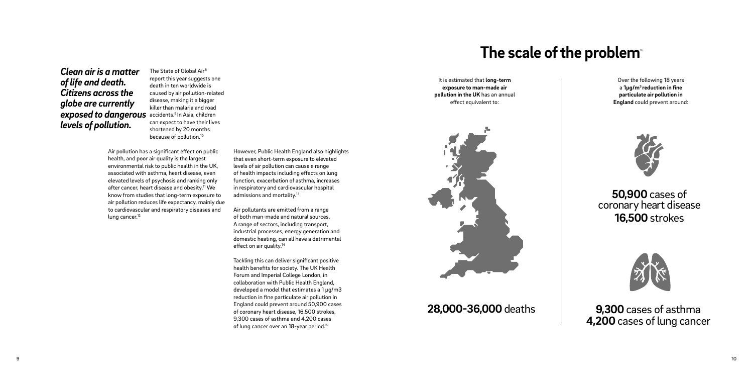*The State of Global Air8 report this year suggests one death in ten worldwide is caused by air pollution-related disease, making it a bigger killer than malaria and road can expect to have their lives shortened by 20 months because of pollution.10*

*Air pollution has a significant effect on public health, and poor air quality is the largest environmental risk to public health in the UK, associated with asthma, heart disease, even elevated levels of psychosis and ranking only after cancer, heart disease and obesity.11 We know from studies that long-term exposure to air pollution reduces life expectancy, mainly due to cardiovascular and respiratory diseases and lung cancer.12*

*However, Public Health England also highlights that even short-term exposure to elevated levels of air pollution can cause a range of health impacts including effects on lung function, exacerbation of asthma, increases in respiratory and cardiovascular hospital admissions and mortality.13*

## *accidents.9 In Asia, children exposed to dangerous Clean air is a matter of life and death. Citizens across the globe are currently levels of pollution.*

*9,300 cases of asthma* **4,200 cases of lung cancer** 

*Air pollutants are emitted from a range of both man-made and natural sources. A range of sectors, including transport, industrial processes, energy generation and domestic heating, can all have a detrimental effect on air quality.14*

*Tackling this can deliver significant positive health benefits for society. The UK Health Forum and Imperial College London, in collaboration with Public Health England, developed a model that estimates a 1 µg/m3 reduction in fine particulate air pollution in England could prevent around 50,900 cases of coronary heart disease, 16,500 strokes, 9,300 cases of asthma and 4,200 cases of lung cancer over an 18-year period.15*

## *The scale of the problem<sup>16</sup>*

*It is estimated that long-term exposure to man-made air pollution in the UK has an annual effect equivalent to:*



*Over the following 18 years a 1µg/m3 reduction in fine particulate air pollution in England could prevent around:*



## *28,000-36,000 deaths*

*50,900 cases of coronary heart disease 16,500 strokes*

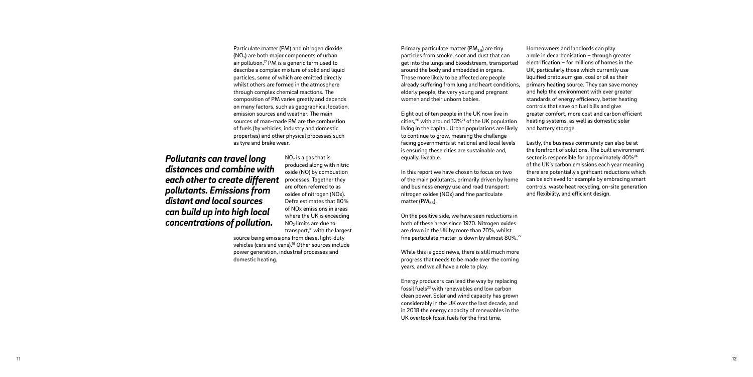*Particulate matter (PM) and nitrogen dioxide (NO 2) are both major components of urban air pollution.17 PM is a generic term used to describe a complex mixture of solid and liquid particles, some of which are emitted directly whilst others are formed in the atmosphere through complex chemical reactions. The composition of PM varies greatly and depends on many factors, such as geographical location, emission sources and weather. The main sources of man-made PM are the combustion of fuels (by vehicles, industry and domestic properties) and other physical processes such as tyre and brake wear.*

> *NO 2 is a gas that is produced along with nitric oxide (NO) by combustion processes. Together they are often referred to as oxides of nitrogen (NOx). Defra estimates that 80% of NOx emissions in areas where the UK is exceeding NO 2 limits are due to transport,18 with the largest*

*In this report we have chosen to focus on two of the main pollutants, primarily driven by home and business energy use and road transport: nitrogen oxides (NOx) and fine particulate*  matter (PM<sub>2.5</sub>).

*source being emissions from diesel light-duty vehicles (cars and vans).19 Other sources include power generation, industrial processes and domestic heating.*

*Primary particulate matter (PM<sub>25</sub>) are tiny particles from smoke, soot and dust that can get into the lungs and bloodstream, transported around the body and embedded in organs. Those more likely to be affected are people already suffering from lung and heart conditions, elderly people, the very young and pregnant women and their unborn babies. Eight out of ten people in the UK now live in cities,20 with around 13%21 of the UK population living in the capital. Urban populations are likely Homeowners and landlords can play a role in decarbonisation – through greater electrification – for millions of homes in the UK, particularly those which currently use liquified pretoleum gas, coal or oil as their primary heating source. They can save money and help the environment with ever greater standards of energy efficiency, better heating controls that save on fuel bills and give greater comfort, more cost and carbon efficient heating systems, as well as domestic solar and battery storage.*

*to continue to grow, meaning the challenge facing governments at national and local levels is ensuring these cities are sustainable and, equally, liveable.*

*On the positive side, we have seen reductions in both of these areas since 1970. Nitrogen oxides are down in the UK by more than 70%, whilst fine particulate matter is down by almost 80%.22*

*While this is good news, there is still much more progress that needs to be made over the coming years, and we all have a role to play.* 

*Energy producers can lead the way by replacing fossil fuels23 with renewables and low carbon clean power. Solar and wind capacity has grown considerably in the UK over the last decade, and in 2018 the energy capacity of renewables in the UK overtook fossil fuels for the first time.* 

*Lastly, the business community can also be at the forefront of solutions. The built environment sector is responsible for approximately 40%24 of the UK's carbon emissions each year meaning there are potentially significant reductions which can be achieved for example by embracing smart controls, waste heat recycling, on-site generation and flexibility, and efficient design.*

*Pollutants can travel long distances and combine with each other to create different pollutants. Emissions from distant and local sources can build up into high local concentrations of pollution.*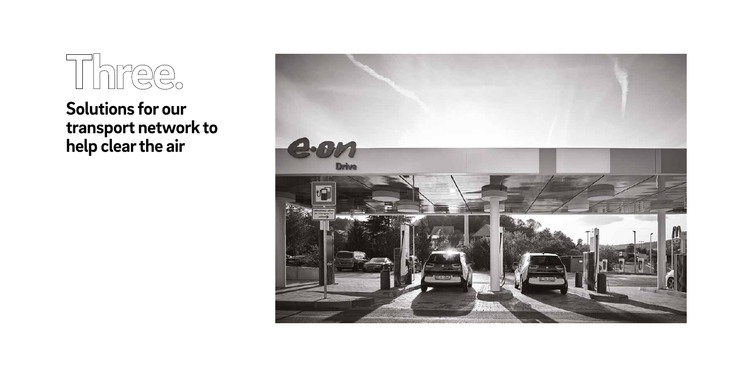# Three

*Solutions for our transport network to help clear the air*

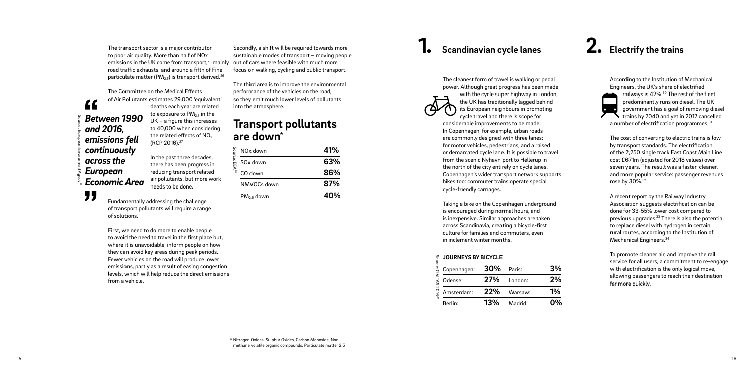*The transport sector is a major contributor to poor air quality. More than half of NOx emissions in the UK come from transport,25 mainly out of cars where feasible with much more road traffic exhausts, and around a fifth of Fine particulate matter (PM2.5) is transport derived.26*

*The Committee on the Medical Effects of Air Pollutants estimates 29,000 'equivalent' deaths each year are related to exposure to PM2.5 in the UK – a figure this increases (RCP 2016).27*

*to 40,000 when considering the related effects of NO 2 In the past three decades, there has been progress in reducing transport related* 

*air pollutants, but more work needs to be done.* 

*Fundamentally addressing the challenge* 

*of transport pollutants will require a range of solutions. First, we need to do more to enable people* 

*to avoid the need to travel in the first place but, where it is unavoidable, inform people on how they can avoid key areas during peak periods. Fewer vehicles on the road will produce lower emissions, partly as a result of easing congestion levels, which will help reduce the direct emissions from a vehicle.* 

## *Transport pollutants are down \**

## *1. Scandinavian cycle lanes 2. Electrify the trains*

*The cleanest form of travel is walking or pedal power. Although great progress has been made with the cycle super highway in London, the UK has traditionally lagged behind its European neighbours in promoting cycle travel and there is scope for considerable improvements to be made. In Copenhagen, for example, urban roads are commonly designed with three lanes: for motor vehicles, pedestrians, and a raised or demarcated cycle lane. It is possible to travel from the scenic Nyhavn port to Hellerup in the north of the city entirely on cycle lanes. Copenhagen's wider transport network supports* 

*bikes too: commuter trains operate special cycle-friendly carriages.* 

*Taking a bike on the Copenhagen underground is encouraged during normal hours, and is inexpensive. Similar approaches are taken across Scandinavia, creating a bicycle-first culture for families and commuters, even in inclement winter months.*

*Secondly, a shift will be required towards more sustainable modes of transport – moving people* 

*focus on walking, cycling and public transport.* 

*Between 1990 and 2016, emissions fell continuously across the European Economic Area Source: European Enviroment Agecy28* 

"

 $\epsilon$ 

*The third area is to improve the environmental performance of the vehicles on the road, so they emit much lower levels of pollutants into the atmosphere.* 

| NO <sub>x</sub> down                            | 41% |
|-------------------------------------------------|-----|
| $\mathsf{Source}:\mathsf{EEA}^{28}$<br>SOx down | 63% |
| CO down                                         | 86% |
| NMVOCs down                                     | 87% |
| $PM2.5$ down                                    | 40% |



#### *JOURNEYS BY BICYCLE*

*According to the Institution of Mechanical Engineers, the UK's share of electrified railways is 42%.30 The rest of the fleet predominantly runs on diesel. The UK government has a goal of removing diesel trains by 2040 and yet in 2017 cancelled a number of electrification programmes.31*

*The cost of converting to electric trains is low by transport standards. The electrification of the 2,250 single track East Coast Main Line cost £671m (adjusted for 2018 values) over seven years. The result was a faster, cleaner, and more popular service: passenger revenues rose by 30%.32*

| 2016 <sup>2g</sup> | g JOURNEYS BY BICYCLE<br>$\frac{1}{2}$ Copenhagen: 30%<br>$\frac{1}{2}$ Odense: 27%<br>Copenhagen: 30% Paris: |     |                | 3% |
|--------------------|---------------------------------------------------------------------------------------------------------------|-----|----------------|----|
|                    |                                                                                                               |     | 27% London:    | 2% |
|                    | Amsterdam:                                                                                                    |     | $22\%$ Warsaw: | 1% |
|                    | Berlin:                                                                                                       | 13% | Madrid:        | 0% |

*A recent report by the Railway Industry Association suggests electrification can be done for 33-55% lower cost compared to previous upgrades.33 There is also the potential to replace diesel with hydrogen in certain rural routes, according to the Institution of Mechanical Engineers.34*

*To promote cleaner air, and improve the rail service for all users, a commitment to re-engage with electrification is the only logical move, allowing passengers to reach their destination far more quickly.* 

*\* Nitrogen Oxides, Sulphur Oxides, Carbon Monoxide, Nonmethane volatile organic compounds, Particulate matter 2.5*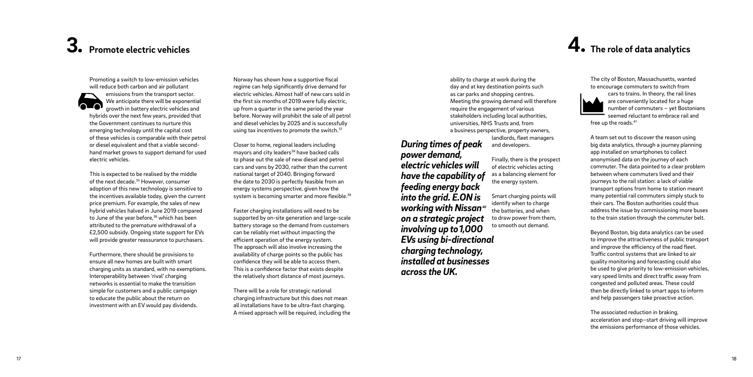## *3. Promote electric vehicles*

*Promoting a switch to low-emission vehicles will reduce both carbon and air pollutant emissions from the transport sector. We anticipate there will be exponential growth in battery electric vehicles and hybrids over the next few years, provided that the Government continues to nurture this emerging technology until the capital cost of these vehicles is comparable with their petrol or diesel equivalent and that a viable secondhand market grows to support demand for used electric vehicles.* 

*This is expected to be realised by the middle of the next decade.35 However, consumer adoption of this new technology is sensitive to the incentives available today, given the current price premium. For example, the sales of new hybrid vehicles halved in June 2019 compared to June of the year before,36 which has been attributed to the premature withdrawal of a £2,500 subsidy. Ongoing state support for EVs will provide greater reassurance to purchasers.* 

*Furthermore, there should be provisions to ensure all new homes are built with smart charging units as standard, with no exemptions. Interoperability between 'rival' charging networks is essential to make the transition simple for customers and a public campaign to educate the public about the return on investment with an EV would pay dividends.* 

*Norway has shown how a supportive fiscal regime can help significantly drive demand for electric vehicles. Almost half of new cars sold in the first six months of 2019 were fully electric, up from a quarter in the same period the year before. Norway will prohibit the sale of all petrol and diesel vehicles by 2025 and is successfully using tax incentives to promote the switch.37*

*Closer to home, regional leaders including mayors and city leaders38 have backed calls to phase out the sale of new diesel and petrol cars and vans by 2030, rather than the current national target of 2040. Bringing forward the date to 2030 is perfectly feasible from an energy systems perspective, given how the system is becoming smarter and more flexible.39*

*Faster charging installations will need to be supported by on-site generation and large-scale battery storage so the demand from customers can be reliably met without impacting the efficient operation of the energy system. The approach will also involve increasing the availability of charge points so the public has confidence they will be able to access them. This is a confidence factor that exists despite the relatively short distance of most journeys.* 

*There will be a role for strategic national charging infrastructure but this does not mean all installations have to be ultra-fast charging. A mixed approach will be required, including the*  *ability to charge at work during the day and at key destination points such as car parks and shopping centres. Meeting the growing demand will therefore require the engagement of various stakeholders including local authorities, universities, NHS Trusts and, from a business perspective, property owners, landlords, fleet managers and developers.*

> *Finally, there is the prospect of electric vehicles acting as a balancing element for the energy system.*

*Smart charging points will identify when to charge the batteries, and when to draw power from them, to smooth out demand.* 

*During times of peak power demand, electric vehicles will have the capability of feeding energy back into the grid. E.ON is working with Nissan40 on a strategic project involving up to 1,000 EVs using bi-directional charging technology, installed at businesses across the UK.*

*The city of Boston, Massachusetts, wanted to encourage commuters to switch from cars to trains. In theory, the rail lines are conveniently located for a huge number of commuters – yet Bostonians seemed reluctant to embrace rail and free up the roads.41*

*A team set out to discover the reason using big data analytics, through a journey planning app installed on smartphones to collect anonymised data on the journey of each commuter. The data pointed to a clear problem between where commuters lived and their journeys to the rail station: a lack of viable transport options from home to station meant many potential rail commuters simply stuck to their cars. The Boston authorities could thus address the issue by commissioning more buses to the train station through the commuter belt.* 

*Beyond Boston, big data analytics can be used to improve the attractiveness of public transport and improve the efficiency of the road fleet. Traffic control systems that are linked to air quality monitoring and forecasting could also be used to give priority to low-emission vehicles, vary speed limits and direct traffic away from congested and polluted areas. These could then be directly linked to smart apps to inform and help passengers take proactive action.* 

*The associated reduction in braking, acceleration and stop–start driving will improve the emissions performance of those vehicles.*

## *4. The role of data analytics*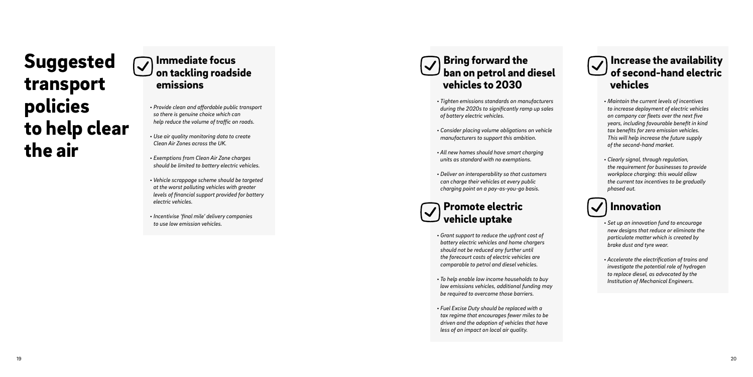## *Immediate focus on tackling roadside emissions*

- *Provide clean and affordable public transport so there is genuine choice which can help reduce the volume of traffic on roads.*
- *Use air quality monitoring data to create Clean Air Zones across the UK.*
- *Exemptions from Clean Air Zone charges should be limited to battery electric vehicles.*
- *Vehicle scrappage scheme should be targeted at the worst polluting vehicles with greater levels of financial support provided for battery electric vehicles.*
- *Incentivise 'final mile' delivery companies to use low emission vehicles.*

*Suggested transport policies to help clear the air*



- *Tighten emissions standards on manufacturers during the 2020s to significantly ramp up sales of battery electric vehicles.*
- *Consider placing volume obligations on vehicle manufacturers to support this ambition.*
- *All new homes should have smart charging units as standard with no exemptions.*
- *Deliver on interoperability so that customers can charge their vehicles at every public charging point on a pay-as-you-go basis.*

## *Promote electric vehicle uptake*

- *Grant support to reduce the upfront cost of battery electric vehicles and home chargers should not be reduced any further until the forecourt costs of electric vehicles are comparable to petrol and diesel vehicles.*
- *To help enable low income households to buy low emissions vehicles, additional funding may be required to overcome those barriers.*
- *Fuel Excise Duty should be replaced with a tax regime that encourages fewer miles to be driven and the adoption of vehicles that have less of an impact on local air quality.*

#### *Increase the availability*   $\blacktriangledown$ *of second-hand electric vehicles*

- *Maintain the current levels of incentives to increase deployment of electric vehicles on company car fleets over the next five years, including favourable benefit in kind tax benefits for zero emission vehicles. This will help increase the future supply of the second-hand market.*
- *Clearly signal, through regulation, the requirement for businesses to provide workplace charging: this would allow the current tax incentives to be gradually phased out.*

## *Innovation*

- *Set up an innovation fund to encourage new designs that reduce or eliminate the particulate matter which is created by brake dust and tyre wear.*
- *Accelerate the electrification of trains and investigate the potential role of hydrogen to replace diesel, as advocated by the Institution of Mechanical Engineers.*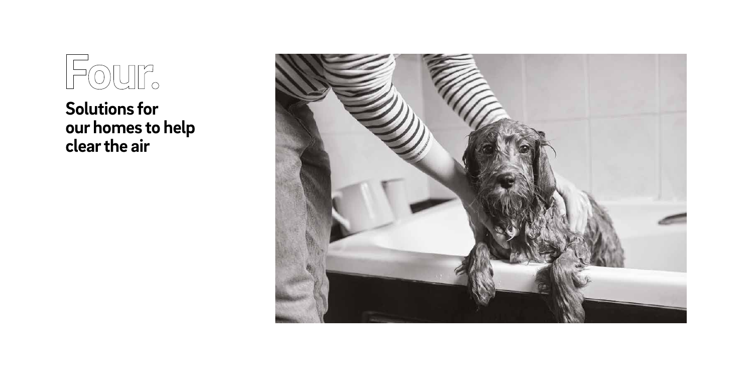

*Solutions for our homes to help clear the air*

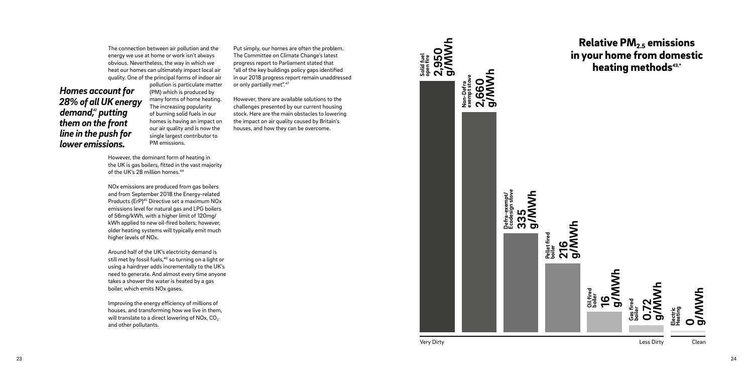*The connection between air pollution and the energy we use at home or work isn't always obvious. Nevertheless, the way in which we heat our homes can ultimately impact local air quality. One of the principal forms of indoor air* 

*pollution is particulate matter (PM) which is produced by many forms of home heating. The increasing popularity of burning solid fuels in our homes is having an impact on our air quality and is now the single largest contributor to PM emissions.*

*However, the dominant form of heating in the UK is gas boilers, fitted in the vast majority of the UK's 28 million homes.44*

*NOx emissions are produced from gas boilers and from September 2018 the Energy-related Products (ErP)45 Directive set a maximum NOx emissions level for natural gas and LPG boilers of 56mg/kWh, with a higher limit of 120mg/ kWh applied to new oil-fired boilers; however, older heating systems will typically emit much higher levels of NOx.* 

*Around half of the UK's electricity demand is still met by fossil fuels,46 so turning on a light or using a hairdryer adds incrementally to the UK's need to generate. And almost every time anyone takes a shower the water is heated by a gas boiler, which emits NOx gases.* 

*Improving the energy efficiency of millions of houses, and transforming how we live in them, will translate to a direct lowering of NOx, CO 2 and other pollutants.* 

### *Homes account for 28% of all UK energy*  demand,<sup>42</sup> putting *them on the front line in the push for lower emissions.*

*Put simply, our homes are often the problem. The Committee on Climate Change's latest progress report to Parliament stated that "all of the key buildings policy gaps identified in our 2018 progress report remain unaddressed or only partially met".47*

*However, there are available solutions to the challenges presented by our current housing stock. Here are the main obstacles to lowering the impact on air quality caused by Britain's houses, and how they can be overcome.* 

## *Relative PM2.5 emissions in your home from domestic heating methods43,\**

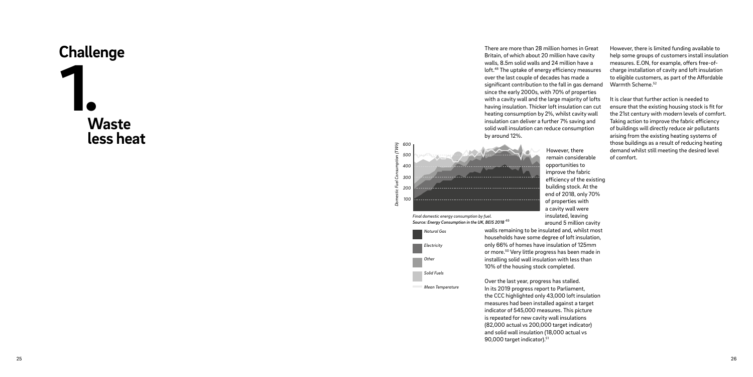

*Britain, of which about 20 million have cavity walls, 8.5m solid walls and 24 million have a loft.48 The uptake of energy efficiency measures over the last couple of decades has made a significant contribution to the fall in gas demand since the early 2000s, with 70% of properties with a cavity wall and the large majority of lofts having insulation. Thicker loft insulation can cut heating consumption by 2%, whilst cavity wall insulation can deliver a further 7% saving and solid wall insulation can reduce consumption* 



*by around 12%.* 

*However, there remain considerable opportunities to improve the fabric efficiency of the existing building stock. At the end of 2018, only 70% of properties with a cavity wall were insulated, leaving around 5 million cavity* 

*walls remaining to be insulated and, whilst most households have some degree of loft insulation, only 66% of homes have insulation of 125mm or more.50 Very little progress has been made in installing solid wall insulation with less than 10% of the housing stock completed.* 

*Over the last year, progress has stalled. In its 2019 progress report to Parliament, the CCC highlighted only 43,000 loft insulation measures had been installed against a target indicator of 545,000 measures. This picture is repeated for new cavity wall insulations (82,000 actual vs 200,000 target indicator) and solid wall insulation (18,000 actual vs 90,000 target indicator).51*

*However, there is limited funding available to help some groups of customers install insulation measures. E.ON, for example, offers free-ofcharge installation of cavity and loft insulation to eligible customers, as part of the Affordable Warmth Scheme.52*

*It is clear that further action is needed to ensure that the existing housing stock is fit for the 21st century with modern levels of comfort. Taking action to improve the fabric efficiency of buildings will directly reduce air pollutants arising from the existing heating systems of those buildings as a result of reducing heating demand whilst still meeting the desired level of comfort.*



*Final domestic energy consumption by fuel. Source: Energy Consumption in the UK, BEIS 2018 <sup>49</sup>*

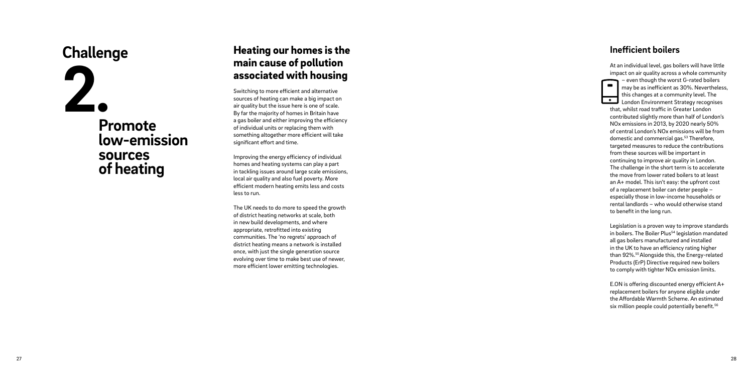## *Promote low-emission sources of heating 2 .*

## *Challenge Heating our homes is the main cause of pollution associated with housing*

*Switching to more efficient and alternative sources of heating can make a big impact on air quality but the issue here is one of scale. By far the majority of homes in Britain have a gas boiler and either improving the efficiency of individual units or replacing them with something altogether more efficient will take significant effort and time.* 

*Improving the energy efficiency of individual homes and heating systems can play a part in tackling issues around large scale emissions, local air quality and also fuel poverty. More efficient modern heating emits less and costs less to run.* 

*The UK needs to do more to speed the growth of district heating networks at scale, both in new build developments, and where appropriate, retrofitted into existing communities. The 'no regrets' approach of district heating means a network is installed once, with just the single generation source evolving over time to make best use of newer, more efficient lower emitting technologies.*

### *Inefficient boilers*

*At an individual level, gas boilers will have little impact on air quality across a whole community – even though the worst G-rated boilers*   $\blacksquare$ *may be as inefficient as 30%. Nevertheless, this changes at a community level. The*   $\bullet$ *London Environment Strategy recognises that, whilst road traffic in Greater London contributed slightly more than half of London's NOx emissions in 2013, by 2020 nearly 50% of central London's NOx emissions will be from domestic and commercial gas.53 Therefore, targeted measures to reduce the contributions from these sources will be important in continuing to improve air quality in London. The challenge in the short term is to accelerate the move from lower rated boilers to at least an A+ model. This isn't easy: the upfront cost of a replacement boiler can deter people – especially those in low-income households or rental landlords – who would otherwise stand to benefit in the long run.* 

*Legislation is a proven way to improve standards in boilers. The Boiler Plus54 legislation mandated all gas boilers manufactured and installed in the UK to have an efficiency rating higher than 92%.55 Alongside this, the Energy-related Products (ErP) Directive required new boilers to comply with tighter NOx emission limits.*

*E.ON is offering discounted energy efficient A+ replacement boilers for anyone eligible under the Affordable Warmth Scheme. An estimated six million people could potentially benefit.56*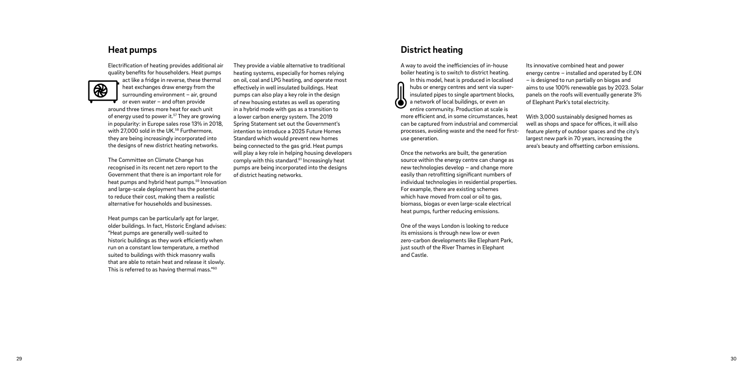*They provide a viable alternative to traditional heating systems, especially for homes relying on oil, coal and LPG heating, and operate most effectively in well insulated buildings. Heat pumps can also play a key role in the design of new housing estates as well as operating in a hybrid mode with gas as a transition to a lower carbon energy system. The 2019 Spring Statement set out the Government's intention to introduce a 2025 Future Homes Standard which would prevent new homes being connected to the gas grid. Heat pumps will play a key role in helping housing developers comply with this standard.61 Increasingly heat pumps are being incorporated into the designs of district heating networks.*

#### *District heating*

*A way to avoid the inefficiencies of in-house boiler heating is to switch to district heating.* 

*In this model, heat is produced in localised hubs or energy centres and sent via superinsulated pipes to single apartment blocks, a network of local buildings, or even an entire community. Production at scale is more efficient and, in some circumstances, heat can be captured from industrial and commercial processes, avoiding waste and the need for firstuse generation.* 

*Once the networks are built, the generation source within the energy centre can change as new technologies develop – and change more easily than retrofitting significant numbers of individual technologies in residential properties. For example, there are existing schemes which have moved from coal or oil to gas, biomass, biogas or even large-scale electrical heat pumps, further reducing emissions.*

*One of the ways London is looking to reduce its emissions is through new low or even zero-carbon developments like Elephant Park, just south of the River Thames in Elephant and Castle.* 

*Its innovative combined heat and power energy centre – installed and operated by E.ON – is designed to run partially on biogas and aims to use 100% renewable gas by 2023. Solar panels on the roofs will eventually generate 3% of Elephant Park's total electricity.* 

*With 3,000 sustainably designed homes as well as shops and space for offices, it will also feature plenty of outdoor spaces and the city's largest new park in 70 years, increasing the area's beauty and offsetting carbon emissions.*

## *Heat pumps*

*Electrification of heating provides additional air quality benefits for householders. Heat pumps* 



*act like a fridge in reverse, these thermal heat exchanges draw energy from the surrounding environment – air, ground or even water – and often provide around three times more heat for each unit of energy used to power it.57 They are growing in popularity: in Europe sales rose 13% in 2018, with 27,000 sold in the UK.58 Furthermore, they are being increasingly incorporated into the designs of new district heating networks.* 

*The Committee on Climate Change has recognised in its recent net zero report to the Government that there is an important role for heat pumps and hybrid heat pumps.59 Innovation and large-scale deployment has the potential to reduce their cost, making them a realistic alternative for households and businesses.* 

*Heat pumps can be particularly apt for larger, older buildings. In fact, Historic England advises: "Heat pumps are generally well-suited to historic buildings as they work efficiently when run on a constant low temperature, a method suited to buildings with thick masonry walls that are able to retain heat and release it slowly. This is referred to as having thermal mass."60*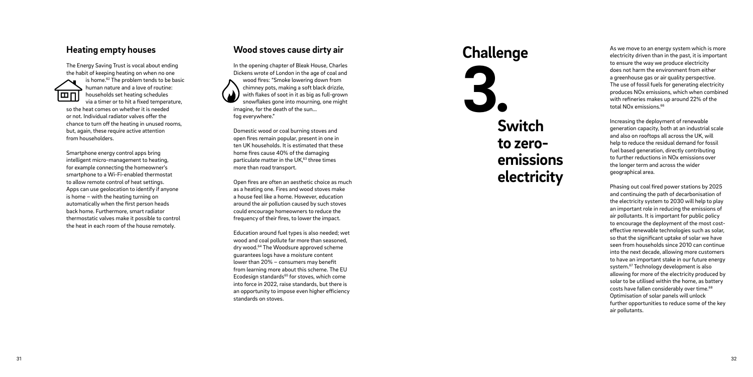### *Wood stoves cause dirty air*

*In the opening chapter of Bleak House, Charles Dickens wrote of London in the age of coal and wood fires: "Smoke lowering down from chimney pots, making a soft black drizzle, with flakes of soot in it as big as full-grown snowflakes gone into mourning, one might imagine, for the death of the sun... fog everywhere."* 

*Domestic wood or coal burning stoves and open fires remain popular, present in one in ten UK households. It is estimated that these home fires cause 40% of the damaging particulate matter in the UK,63 three times more than road transport.* 

*Open fires are often an aesthetic choice as much as a heating one. Fires and wood stoves make a house feel like a home. However, education around the air pollution caused by such stoves could encourage homeowners to reduce the frequency of their fires, to lower the impact.* 

*Education around fuel types is also needed; wet wood and coal pollute far more than seasoned, dry wood.64 The Woodsure approved scheme guarantees logs have a moisture content lower than 20% – consumers may benefit from learning more about this scheme. The EU Ecodesign standards65 for stoves, which come into force in 2022, raise standards, but there is an opportunity to impose even higher efficiency standards on stoves.*

### *Heating empty houses*

**Challenge** *As we move to an energy system which is more*<br>*As we move to an energy system which is more***<br><b>***As we move to an energy system which is more*<br>*As we move to an energy system which is more electricity driven than in the past, it is important to ensure the way we produce electricity does not harm the environment from either a greenhouse gas or air quality perspective. The use of fossil fuels for generating electricity produces NOx emissions, which when combined with refineries makes up around 22% of the total NOx emissions.66*

*The Energy Saving Trust is vocal about ending the habit of keeping heating on when no one* 



*is home.62 The problem tends to be basic human nature and a love of routine: households set heating schedules via a timer or to hit a fixed temperature, so the heat comes on whether it is needed* 

*or not. Individual radiator valves offer the chance to turn off the heating in unused rooms, but, again, these require active attention from householders.* 

*Smartphone energy control apps bring intelligent micro-management to heating, for example connecting the homeowner's smartphone to a Wi-Fi-enabled thermostat to allow remote control of heat settings. Apps can use geolocation to identify if anyone is home – with the heating turning on automatically when the first person heads back home. Furthermore, smart radiator thermostatic valves make it possible to control the heat in each room of the house remotely.*

## *Switch to zeroemissions electricity*

*3 .*

*Increasing the deployment of renewable generation capacity, both at an industrial scale and also on rooftops all across the UK, will help to reduce the residual demand for fossil fuel based generation, directly contributing to further reductions in NOx emissionsover the longer term and across the wider geographical area.* 

*Phasing out coal fired power stations by 2025 and continuing the path of decarbonisation of the electricity system to 2030 will help to play an important role in reducing the emissions of air pollutants. It is important for public policy to encourage the deployment of the most costeffective renewable technologies such as solar, so that the significant uptake of solar we have seen from households since 2010 can continue into the next decade, allowing more customers to have an important stake in our future energy system.67 Technology development is also allowing for more of the electricity produced by solar to be utilised within the home, as battery costs have fallen considerably over time.68 Optimisation of solar panels will unlock further opportunities to reduce some of the key air pollutants.*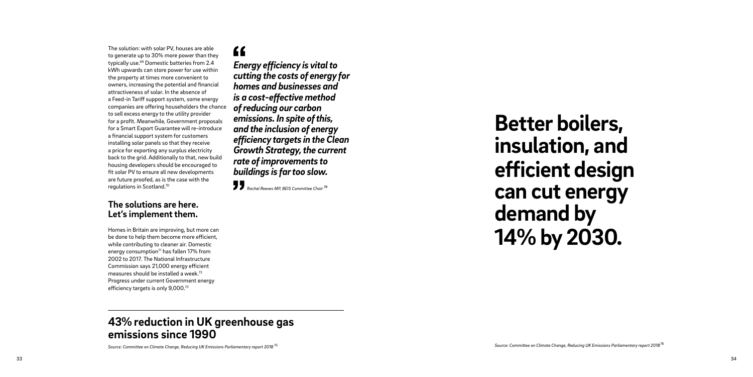*The solution: with solar PV, houses are able to generate up to 30% more power than they typically use.69 Domestic batteries from 2.4 kWh upwards can store power for use within the property at times more convenient to owners, increasing the potential and financial attractiveness of solar. In the absence of a Feed-in Tariff support system, some energy companies are offering householders the chance to sell excess energy to the utility provider for a profit. Meanwhile, Government proposals for a Smart Export Guarantee will re-introduce a financial support system for customers installing solar panels so that they receive a price for exporting any surplus electricity back to the grid. Additionally to that, new build housing developers should be encouraged to fit solar PV to ensure all new developments are future proofed, as is the case with the regulations in Scotland.70*

### *The solutions are here. Let's implement them.*

*Homes in Britain are improving, but more can be done to help them become more efficient, while contributing to cleaner air. Domestic energy consumption71 has fallen 17% from 2002 to 2017. The National Infrastructure Commission says 21,000 energy efficient measures should be installed a week.72 Progress under current Government energy efficiency targets is only 9,000.73*

## $\epsilon$

*Source: Committee on Climate Change, Reducing UK Emissions Parliamentary report 2018<sup>76</sup> Source: Committee on Climate Change, Reducing UK Emissions Parliamentary report 2018 <sup>75</sup>*

## *43% reduction in UK greenhouse gas emissions since 1990*

*Energy efficiency is vital to cutting the costs of energy for homes and businesses and is a cost-effective method of reducing our carbon emissions. In spite of this, and the inclusion of energy efficiency targets in the Clean Growth Strategy, the current rate of improvements to buildings is far too slow.*

*Rachel Reeves MP, BEIS Committee Chair <sup>74</sup>*

## *Better boilers, insulation, and efficient design can cut energy demand by 14% by 2030.*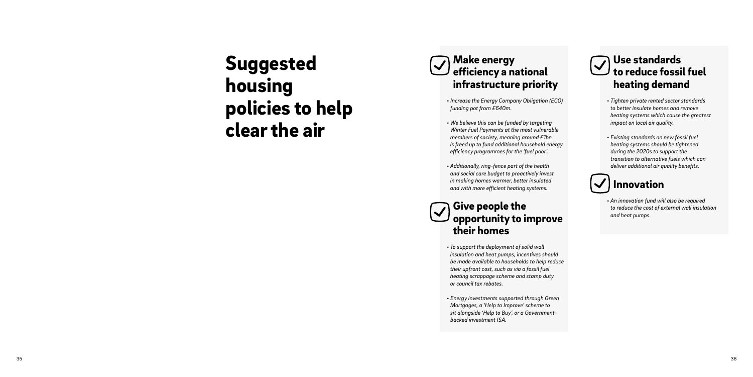## *Make energy efficiency a national infrastructure priority*

- *Increase the Energy Company Obligation (ECO) funding pot from £640m.*
- *We believe this can be funded by targeting Winter Fuel Payments at the most vulnerable members of society, meaning around £1bn is freed up to fund additional household energy efficiency programmes for the 'fuel poor'.*
- *Additionally, ring-fence part of the health and social care budget to proactively invest in making homes warmer, better insulated and with more efficient heating systems.*

## *Give people the opportunity to improve their homes*

- *To support the deployment of solid wall insulation and heat pumps, incentives should be made available to households to help reduce their upfront cost, such as via a fossil fuel heating scrappage scheme and stamp duty or council tax rebates.*
- *Energy investments supported through Green Mortgages, a 'Help to Improve' scheme to sit alongside 'Help to Buy', or a Governmentbacked investment ISA.*

### *Use standards*   $\sqrt{}$ *to reduce fossil fuel heating demand*

- *Tighten private rented sector standards to better insulate homes and remove heating systems which cause the greatest impact on local air quality.*
- *Existing standards on new fossil fuel heating systems should be tightened during the 2020s to support the transition to alternative fuels which can deliver additional air quality benefits.*

## *Innovation*

*• An innovation fund will also be required to reduce the cost of external wall insulation and heat pumps.* 

## *Suggested housing policies to help clear the air*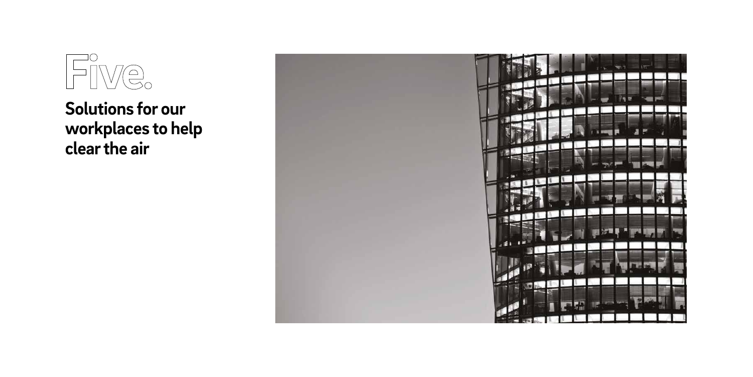

# *workplaces to help clear the air*

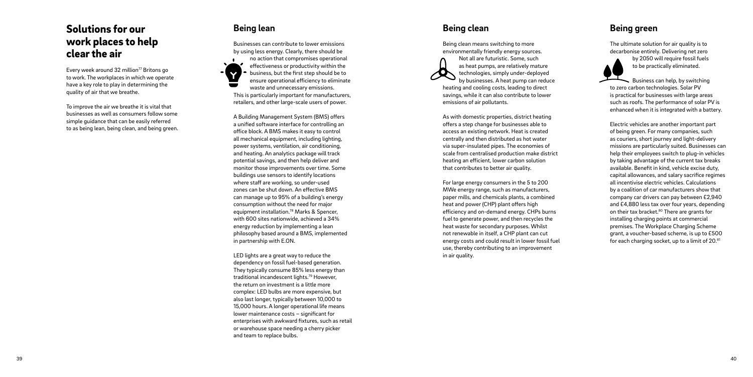## *Solutions for our work places to help clear the air*

*Every week around 32 million77 Britons go to work. The workplaces in which we operate have a key role to play in determining the quality of air that we breathe.* 

*To improve the air we breathe it is vital that businesses as well as consumers follow some simple guidance that can be easily referred to as being lean, being clean, and being green.*

## *Being lean*

*Businesses can contribute to lower emissions by using less energy. Clearly, there should be no action that compromises operational*   $\blacksquare$ *effectiveness or productivity within the*  Y *business, but the first step should be to ensure operational efficiency to eliminate waste and unnecessary emissions. This is particularly important for manufacturers, retailers, and other large-scale users of power.* 

*A Building Management System (BMS) offers a unified software interface for controlling an office block. A BMS makes it easy to control all mechanical equipment, including lighting, power systems, ventilation, air conditioning, and heating. An analytics package will track potential savings, and then help deliver and monitor those improvements over time. Some buildings use sensors to identify locations where staff are working, so under-used zones can be shut down. An effective BMS can manage up to 95% of a building's energy consumption without the need for major equipment installation.78 Marks & Spencer, with 600 sites nationwide, achieved a 34% energy reduction by implementing a lean philosophy based around a BMS, implemented in partnership with E.ON.* 

*LED lights are a great way to reduce the dependency on fossil fuel-based generation. They typically consume 85% less energy than traditional incandescent lights.79 However, the return on investment is a little more complex: LED bulbs are more expensive, but also last longer, typically between 10,000 to 15,000 hours. A longer operational life means lower maintenance costs – significant for enterprises with awkward fixtures, such as retail or warehouse space needing a cherry picker and team to replace bulbs.* 

## *Being clean*

*Being clean means switching to more environmentally friendly energy sources.* 



*Not all are futuristic. Some, such as heat pumps, are relatively mature technologies, simply under-deployed* 

*by businesses. A heat pump can reduce heating and cooling costs, leading to direct savings, while it can also contribute to lower emissions of air pollutants.*

*As with domestic properties, district heating offers a step change for businesses able to access an existing network. Heat is created centrally and then distributed as hot water via super-insulated pipes. The economies of scale from centralised production make district heating an efficient, lower carbon solution that contributes to better air quality.* 

*For large energy consumers in the 5 to 200 MWe energy range, such as manufacturers, paper mills, and chemicals plants, a combined heat and power (CHP) plant offers high efficiency and on-demand energy. CHPs burns fuel to generate power, and then recycles the heat waste for secondary purposes. Whilst not renewable in itself, a CHP plant can cut energy costs and could result in lower fossil fuel use, thereby contributing to an improvement in air quality.*

## *Being green*

*The ultimate solution for air quality is to decarbonise entirely. Delivering net zero* 



*by 2050 will require fossil fuels to be practically eliminated.* 

*Business can help, by switching to zero carbon technologies. Solar PV is practical for businesses with large areas such as roofs. The performance of solar PV is enhanced when it is integrated with a battery.*

*Electric vehicles are another important part of being green. For many companies, such as couriers, short journey and light-delivery missions are particularly suited. Businesses can help their employees switch to plug-in vehicles by taking advantage of the current tax breaks available. Benefit in kind, vehicle excise duty, capital allowances, and salary sacrifice regimes all incentivise electric vehicles. Calculations by a coalition of car manufacturers show that company car drivers can pay between £2,940 and £4,880 less tax over four years, depending on their tax bracket.80 There are grants for installing charging points at commercial premises. The Workplace Charging Scheme grant, a voucher-based scheme, is up to £500 for each charging socket, up to a limit of 20.81*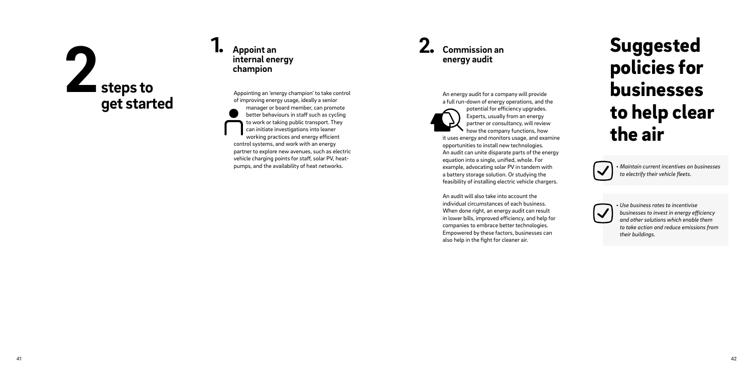*An energy audit for a company will provide a full run-down of energy operations, and the* 



*potential for efficiency upgrades. Experts, usually from an energy partner or consultancy, will review how the company functions, how* 

*it uses energy and monitors usage, and examine opportunities to install new technologies. An audit can unite disparate parts of the energy equation into a single, unified, whole. For example, advocating solar PV in tandem with a battery storage solution. Or studying the feasibility of installing electric vehicle chargers.* 

*An audit will also take into account the individual circumstances of each business. When done right, an energy audit can result in lower bills, improved efficiency, and help for companies to embrace better technologies. Empowered by these factors, businesses can also help in the fight for cleaner air.* 

## *Commission an energy audit*

### *Appoint an internal energy champion 1. 2.*

*Appointing an 'energy champion' to take control of improving energy usage, ideally a senior manager or board member, can promote better behaviours in staff such as cycling to work or taking public transport. They can initiate investigations into leaner working practices and energy efficient control systems, and work with an energy partner to explore new avenues, such as electric vehicle charging points for staff, solar PV, heatpumps, and the availability of heat networks.* 

# *steps to 2 get started*

*• Maintain current incentives on businesses to electrify their vehicle fleets.*

 $\checkmark$ 

*• Use business rates to incentivise businesses to invest in energy efficiency and other solutions which enable them to take action and reduce emissions from their buildings.*

## *Suggested policies for businesses to help clear the air*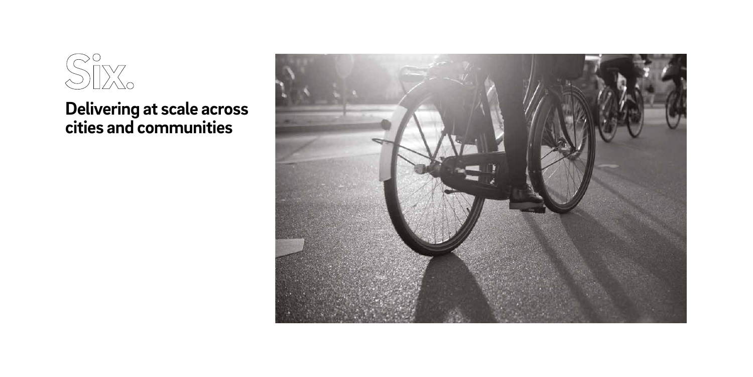

## *Delivering at scale across cities and communities*

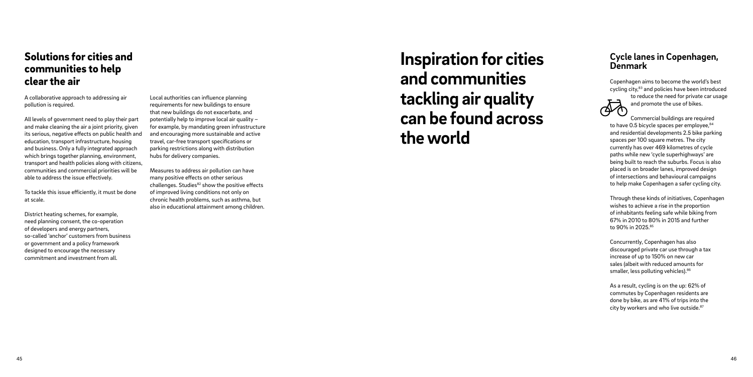## *Solutions for cities and communities to help clear the air*

*A collaborative approach to addressing air pollution is required.* 

*All levels of government need to play their part and make cleaning the air a joint priority, given its serious, negative effects on public health and education, transport infrastructure, housing and business. Only a fully integrated approach which brings together planning, environment, transport and health policies along with citizens, communities and commercial priorities will be able to address the issue effectively.* 

*To tackle this issue efficiently, it must be done at scale.* 

*District heating schemes, for example, need planning consent, the co-operation of developers and energy partners, so-called 'anchor' customers from business or government and a policy framework designed to encourage the necessary commitment and investment from all.* 

*Local authorities can influence planning requirements for new buildings to ensure that new buildings do not exacerbate, and potentially help to improve local air quality – for example, by mandating green infrastructure and encouraging more sustainable and active travel, car-free transport specifications or parking restrictions along with distribution hubs for delivery companies.*

*Measures to address air pollution can have many positive effects on other serious challenges. Studies82 show the positive effects of improved living conditions not only on chronic health problems, such as asthma, but also in educational attainment among children.*

### *Cycle lanes in Copenhagen, Denmark*

*Copenhagen aims to become the world's best cycling city,83 and policies have been introduced* 

 $\vec{\phi}$ 

*to reduce the need for private car usage and promote the use of bikes.* 

*Commercial buildings are required to have 0.5 bicycle spaces per employee,84 and residential developments 2.5 bike parking spaces per 100 square metres. The city currently has over 469 kilometres of cycle paths while new 'cycle superhighways' are being built to reach the suburbs. Focus is also placed is on broader lanes, improved design of intersections and behavioural campaigns to help make Copenhagen a safer cycling city.*

*Through these kinds of initiatives, Copenhagen wishes to achieve a rise in the proportion of inhabitants feeling safe while biking from 67% in 2010 to 80% in 2015 and further to 90% in 2025.85*

*Concurrently, Copenhagen has also discouraged private car use through a tax increase of up to 150% on new car sales (albeit with reduced amounts for smaller, less polluting vehicles).86*

*As a result, cycling is on the up: 62% of commutes by Copenhagen residents are done by bike, as are 41% of trips into the city by workers and who live outside.87*

## *Inspiration for cities and communities tackling air quality can be found across the world*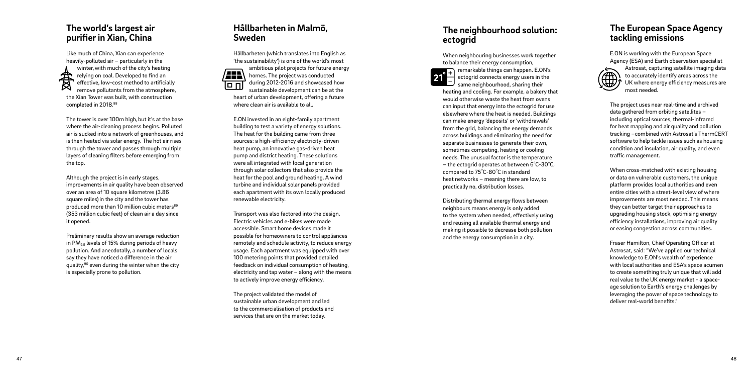*Hållbarheten (which translates into English as 'the sustainability') is one of the world's most ambitious pilot projects for future energy*  /22R *homes. The project was conducted during 2012-2016 and showcased how*  lo n

### *Hållbarheten in Malmö, Sweden*

*sustainable development can be at the heart of urban development, offering a future where clean air is available to all.* 

*E.ON invested in an eight-family apartment building to test a variety of energy solutions. The heat for the building came from three sources: a high-efficiency electricity-driven heat pump, an innovative gas-driven heat pump and district heating. These solutions were all integrated with local generation through solar collectors that also provide the heat for the pool and ground heating. A wind turbine and individual solar panels provided each apartment with its own locally produced renewable electricity.*

*Transport was also factored into the design. Electric vehicles and e-bikes were made accessible. Smart home devices made it possible for homeowners to control appliances remotely and schedule activity, to reduce energy usage. Each apartment was equipped with over 100 metering points that provided detailed feedback on individual consumption of heating, electricity and tap water – along with the means to actively improve energy efficiency.* 

*The project validated the model of sustainable urban development and led to the commercialisation of products and services that are on the market today.* 

#### *The European Space Agency tackling emissions*

*E.ON is working with the European Space Agency (ESA) and Earth observation specialist* 



*Astrosat, capturing satellite imaging data to accurately identify areas across the UK where energy efficiency measures are most needed.*

The tower is over 100m high, but it's at the base *where the air-cleaning process begins. Polluted air is sucked into a network of greenhouses, and is then heated via solar energy. The hot air rises through the tower and passes through multiple layers of cleaning filters before emerging from the top.* 

*The project uses near real-time and archived data gathered from orbiting satellites – including optical sources, thermal-infrared for heat mapping and air quality and pollution tracking –combined with Astrosat's ThermCERT software to help tackle issues such as housing condition and insulation, air quality, and even traffic management.*

*When cross-matched with existing housing or data on vulnerable customers, the unique platform provides local authorities and even entire cities with a street-level view of where improvements are most needed. This means they can better target their approaches to upgrading housing stock, optimising energy efficiency installations, improving air quality or easing congestion across communities.*

*Fraser Hamilton, Chief Operating Officer at Astrosat, said: "We've applied our technical knowledge to E.ON's wealth of experience with local authorities and ESA's space acumen to create something truly unique that will add real value to the UK energy market - a spaceage solution to Earth's energy challenges by leveraging the power of space technology to deliver real-world benefits."*

### *The world's largest air purifier in Xian, China*

*Like much of China, Xian can experience heavily-polluted air – particularly in the winter,with much of the city's heating relying on coal. Developed to find an effective, low-cost method to artificially remove pollutants from the atmosphere, the Xian Tower was built, with construction completed in 2018.88*

*Although the project is in early stages, improvements in air quality have been observed over an area of 10 square kilometres (3.86 square miles)in the city and the tower has produced more than 10 million cubic meters89 (353 million cubic feet) of clean air a day since it opened.*

*Preliminary results show an average reduction in PM2.5 levels of 15% during periods of heavy pollution. And anecdotally, a number of locals say they have noticed a difference in the air quality,90 even during the winter when the city is especially prone to pollution.*

### *The neighbourhood solution: ectogrid*

*When neighbouring businesses work together to balance their energy consumption, r* remarkable things can happen. E.ON's *ectogrid connects energy users in the*  21 *same neighbourhood, sharing their heating and cooling. For example, a bakery that would otherwise waste the heat from ovens can input that energy into the ectogrid for use elsewhere where the heat is needed. Buildings can make energy 'deposits' or 'withdrawals' from the grid, balancing the energy demands across buildings and eliminating the need for separate businesses to generate their own, sometimes competing, heating or cooling needs. The unusual factor is the temperature –* the ectogrid operates at between 6°C-30°C, compared to 75<sup>°</sup>C-80<sup>°</sup>C in standard *heat networks – meaning there are low, to practically no, distribution losses.* 

*Distributing thermal energy flows between neighbours means energy is only added to the system when needed, effectively using and reusing all available thermal energy and making it possible to decrease both pollution and the energy consumption in a city.*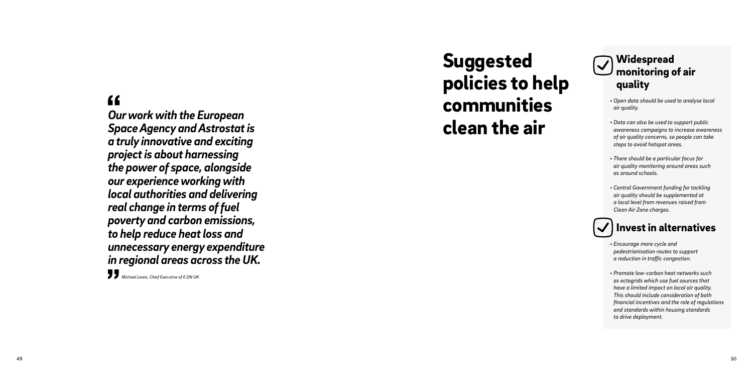## *Widespread monitoring of air quality*

- *Open data should be used to analyse local air quality.*
- *Data can also be used to support public awareness campaigns to increase awareness of air quality concerns, so people can take steps to avoid hotspot areas.*
- *There should be a particular focus for air quality monitoring around areas such as around schools.*
- *Central Government funding for tackling air quality should be supplemented at a local level from revenues raised from Clean Air Zone charges.*

## *Invest in alternatives*

- *Encourage more cycle and pedestrianisation routes to support a reduction in traffic congestion.*
- *Promote low-carbon heat networks such as ectogrids which use fuel sources that have a limited impact on local air quality. This should include consideration of both financial incentives and the role of regulations and standards within housing standards to drive deployment.*

*Suggested policies to help communities* 

## $\epsilon$

*clean the air Our work with the European Space Agency and Astrostat is a truly innovative and exciting project is about harnessing the power of space, alongside our experience working with local authorities and delivering real change in terms of fuel poverty and carbon emissions, to help reduce heat loss and unnecessary energy expenditure in regional areas across the UK.*

*Michael Lewis, Chief Executive of E.ON UK*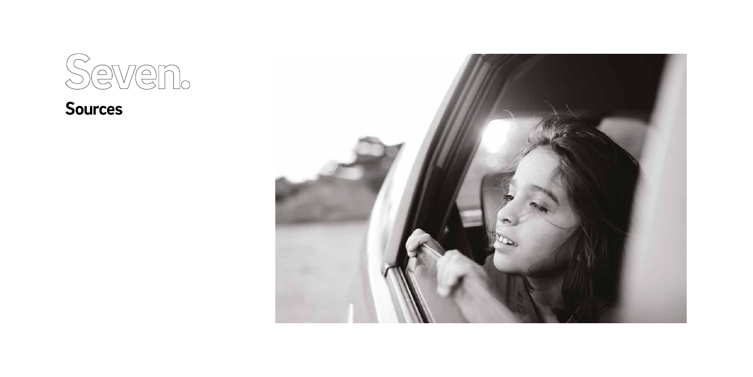

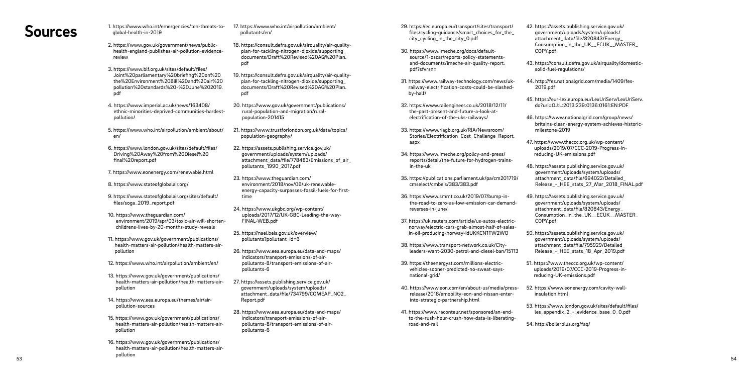- **Sources** 1. https://www.who.int/emergencies/ten-threats-to-<br>
alobal-health-in-2019 *global-health-in-2019*
	- *2. https://www.gov.uk/government/news/publichealth-england-publishes-air-pollution-evidencereview*
	- *3. https://www.blf.org.uk/sites/default/files/ Joint%20parliamentary%20briefing%20on%20 the%20Environment%20Bill%20and%20air%20 pollution%20standards%20-%20June%202019. pdf*
	- *4. https://www.imperial.ac.uk/news/163408/ ethnic-minorities-deprived-communities-hardestpollution/*
	- *5. https://www.who.int/airpollution/ambient/about/ en/*
	- *6. https://www.london.gov.uk/sites/default/files/ Driving%20Away%20from%20Diesel%20 final%20report.pdf*
	- *7. https://www.eonenergy.com/renewable.html*
	- *8. https://www.stateofglobalair.org/*
	- *9. https://www.stateofglobalair.org/sites/default/ files/soga\_2019\_report.pdf*
	- *10. https://www.theguardian.com/ environment/2019/apr/03/toxic-air-will-shortenchildrens-lives-by-20-months-study-reveals*
	- *11. https://www.gov.uk/government/publications/ health-matters-air-pollution/health-matters-airpollution*
	- *12. https://www.who.int/airpollution/ambient/en/*
	- *13. https://www.gov.uk/government/publications/ health-matters-air-pollution/health-matters-airpollution*
	- *14. https://www.eea.europa.eu/themes/air/airpollution-sources*
	- *15. https://www.gov.uk/government/publications/ health-matters-air-pollution/health-matters-airpollution*
- *53 54 16. https://www.gov.uk/government/publications/ health-matters-air-pollution/health-matters-airpollution*

*17. https://www.who.int/airpollution/ambient/ pollutants/en/*

- *18. https://consult.defra.gov.uk/airquality/air-qualityplan-for-tackling-nitrogen-dioxide/supporting\_ documents/Draft%20Revised%20AQ%20Plan. pdf*
- *19. https://consult.defra.gov.uk/airquality/air-qualityplan-for-tackling-nitrogen-dioxide/supporting\_ documents/Draft%20Revised%20AQ%20Plan. pdf*
- *20. https://www.gov.uk/government/publications/ rural-population-and-migration/ruralpopulation-201415*
- *21. https://www.trustforlondon.org.uk/data/topics/ population-geography/*
- *22. https://assets.publishing.service.gov.uk/ government/uploads/system/uploads/ attachment\_data/file/778483/Emissions\_of\_air\_ pollutants\_1990\_2017.pdf*
- *23. https://www.theguardian.com/ environment/2018/nov/06/uk-renewableenergy-capacity-surpasses-fossil-fuels-for-firsttime*
- *24. https://www.ukgbc.org/wp-content/ uploads/2017/12/UK-GBC-Leading-the-way-FINAL-WEB.pdf*
- *25. https://naei.beis.gov.uk/overview/ pollutants?pollutant\_id=6*
- *26. https://www.eea.europa.eu/data-and-maps/ indicators/transport-emissions-of-airpollutants-8/transport-emissions-of-airpollutants-6*
- *27. https://assets.publishing.service.gov.uk/ government/uploads/system/uploads/ attachment\_data/file/734799/COMEAP\_NO2\_ Report.pdf*
- *28. https://www.eea.europa.eu/data-and-maps/ indicators/transport-emissions-of-airpollutants-8/transport-emissions-of-airpollutants-6*
- *29. https://ec.europa.eu/transport/sites/transport/ files/cycling-guidance/smart\_choices\_for\_the\_ city\_cycling\_in\_the\_city\_0.pdf*
- *30. https://www.imeche.org/docs/defaultsource/1-oscar/reports-policy-statementsand-documents/imeche-air-quality-report. pdf?sfvrsn=*
- *31. https://www.railway-technology.com/news/ukrailway-electrification-costs-could-be-slashedby-half/*
- *32. https://www.railengineer.co.uk/2018/12/11/ the-past-present-and-future-a-look-atelectrification-of-the-uks-railways/*
- *33. https://www.riagb.org.uk/RIA/Newsroom/ Stories/Electrification\_Cost\_Challenge\_Report. aspx*
- *34. https://www.imeche.org/policy-and-press/ reports/detail/the-future-for-hydrogen-trainsin-the-uk*
- *35. https://publications.parliament.uk/pa/cm201719/ cmselect/cmbeis/383/383.pdf*
- *36. https://www.smmt.co.uk/2019/07/bump-inthe-road-to-zero-as-low-emission-car-demandreverses-in-june/*
- *37. https://uk.reuters.com/article/us-autos-electricnorway/electric-cars-grab-almost-half-of-salesin-oil-producing-norway-idUKKCN1TW2WO*
- *38. https://www.transport-network.co.uk/Cityleaders-want-2030-petrol-and-diesel-ban/15113*
- *39. https://theenergyst.com/millions-electricvehicles-sooner-predicted-no-sweat-saysnational-grid/*
- *40. https://www.eon.com/en/about-us/media/pressrelease/2018/emobility-eon-and-nissan-enterinto-strategic-partnership.html*
- *41. https://www.raconteur.net/sponsored/an-endto-the-rush-hour-crush-how-data-is-liberatingroad-and-rail*
- *42. https://assets.publishing.service.gov.uk/ government/uploads/system/uploads/ attachment\_data/file/820843/Energy\_ Consumption\_in\_the\_UK\_\_ECUK\_\_MASTER\_ COPY.pdf*
- *43. https://consult.defra.gov.uk/airquality/domesticsolid-fuel-regulations/*
- *44. http://fes.nationalgrid.com/media/1409/fes-2019.pdf*
- *45. https://eur-lex.europa.eu/LexUriServ/LexUriServ. do?uri=OJ:L:2013:239:0136:0161:EN:PDF*
- *46. https://www.nationalgrid.com/group/news/ britains-clean-energy-system-achieves-historicmilestone-2019*
- *47. https://www.theccc.org.uk/wp-content/ uploads/2019/07/CCC-2019-Progress-inreducing-UK-emissions.pdf*
- *48. https://assets.publishing.service.gov.uk/ government/uploads/system/uploads/ attachment\_data/file/694022/Detailed\_ Release\_-\_HEE\_stats\_27\_Mar\_2018\_FINAL.pdf*
- *49. https://assets.publishing.service.gov.uk/ government/uploads/system/uploads/ attachment\_data/file/820843/Energy\_ Consumption\_in\_the\_UK\_\_ECUK\_\_MASTER\_ COPY.pdf*
- *50. https://assets.publishing.service.gov.uk/ government/uploads/system/uploads/ attachment\_data/file/795929/Detailed\_ Release\_-\_HEE\_stats\_18\_Apr\_2019.pdf*
- *51. https://www.theccc.org.uk/wp-content/ uploads/2019/07/CCC-2019-Progress-inreducing-UK-emissions.pdf*
- *52. https://www.eonenergy.com/cavity-wallinsulation.html*
- *53. https://www.london.gov.uk/sites/default/files/ les\_appendix\_2\_-\_evidence\_base\_0\_0.pdf*
- *54. http://boilerplus.org/faq/*